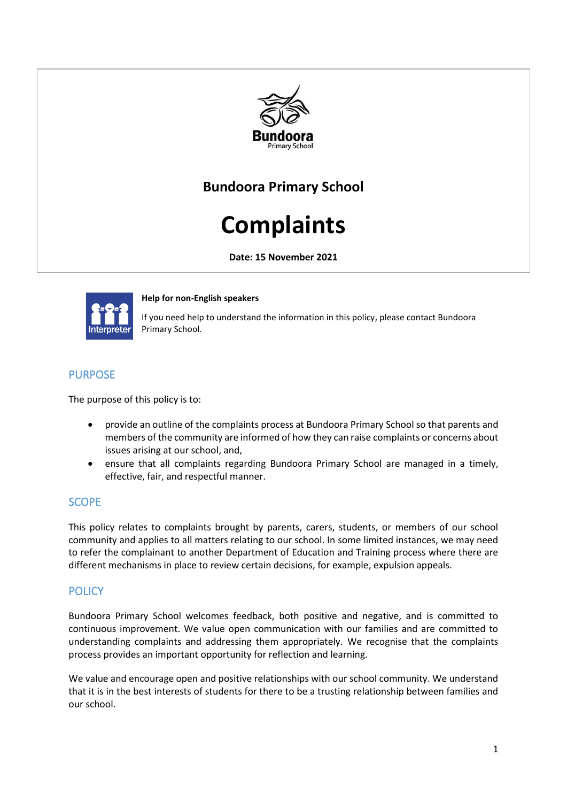

## **Bundoora Primary School**

# **Complaints**

**Date: 15 November 2021**



**Help for non-English speakers** 

If you need help to understand the information in this policy, please contact Bundoora Primary School.

## **PURPOSE**

The purpose of this policy is to:

- provide an outline of the complaints process at Bundoora Primary School so that parents and members of the community are informed of how they can raise complaints or concerns about issues arising at our school, and,
- ensure that all complaints regarding Bundoora Primary School are managed in a timely, effective, fair, and respectful manner.

## **SCOPE**

This policy relates to complaints brought by parents, carers, students, or members of our school community and applies to all matters relating to our school. In some limited instances, we may need to refer the complainant to another Department of Education and Training process where there are different mechanisms in place to review certain decisions, for example, expulsion appeals.

## **POLICY**

Bundoora Primary School welcomes feedback, both positive and negative, and is committed to continuous improvement. We value open communication with our families and are committed to understanding complaints and addressing them appropriately. We recognise that the complaints process provides an important opportunity for reflection and learning.

We value and encourage open and positive relationships with our school community. We understand that it is in the best interests of students for there to be a trusting relationship between families and our school.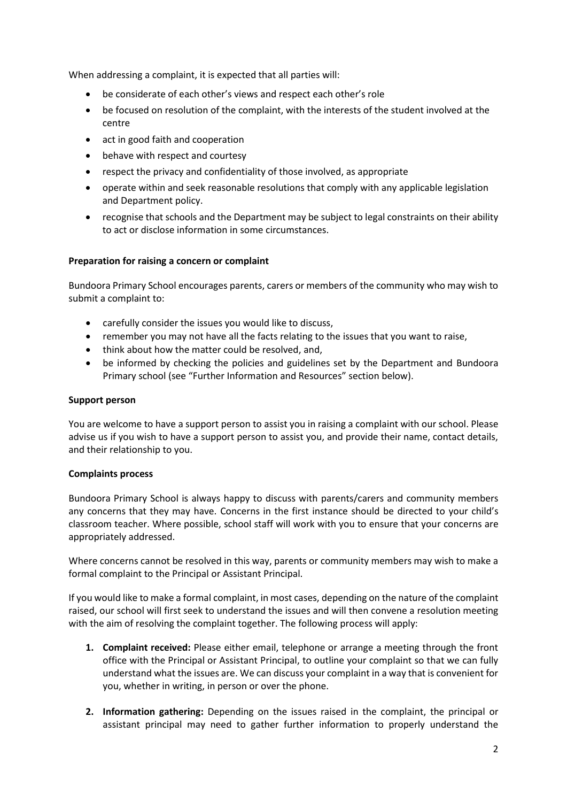When addressing a complaint, it is expected that all parties will:

- be considerate of each other's views and respect each other's role
- be focused on resolution of the complaint, with the interests of the student involved at the centre
- act in good faith and cooperation
- behave with respect and courtesy
- respect the privacy and confidentiality of those involved, as appropriate
- operate within and seek reasonable resolutions that comply with any applicable legislation and Department policy.
- recognise that schools and the Department may be subject to legal constraints on their ability to act or disclose information in some circumstances.

#### **Preparation for raising a concern or complaint**

Bundoora Primary School encourages parents, carers or members of the community who may wish to submit a complaint to:

- carefully consider the issues you would like to discuss,
- remember you may not have all the facts relating to the issues that you want to raise,
- think about how the matter could be resolved, and,
- be informed by checking the policies and guidelines set by the Department and Bundoora Primary school (see "Further Information and Resources" section below).

#### **Support person**

You are welcome to have a support person to assist you in raising a complaint with our school. Please advise us if you wish to have a support person to assist you, and provide their name, contact details, and their relationship to you.

#### **Complaints process**

Bundoora Primary School is always happy to discuss with parents/carers and community members any concerns that they may have. Concerns in the first instance should be directed to your child's classroom teacher. Where possible, school staff will work with you to ensure that your concerns are appropriately addressed.

Where concerns cannot be resolved in this way, parents or community members may wish to make a formal complaint to the Principal or Assistant Principal.

If you would like to make a formal complaint, in most cases, depending on the nature of the complaint raised, our school will first seek to understand the issues and will then convene a resolution meeting with the aim of resolving the complaint together. The following process will apply:

- **1. Complaint received:** Please either email, telephone or arrange a meeting through the front office with the Principal or Assistant Principal, to outline your complaint so that we can fully understand what the issues are. We can discuss your complaint in a way that is convenient for you, whether in writing, in person or over the phone.
- **2. Information gathering:** Depending on the issues raised in the complaint, the principal or assistant principal may need to gather further information to properly understand the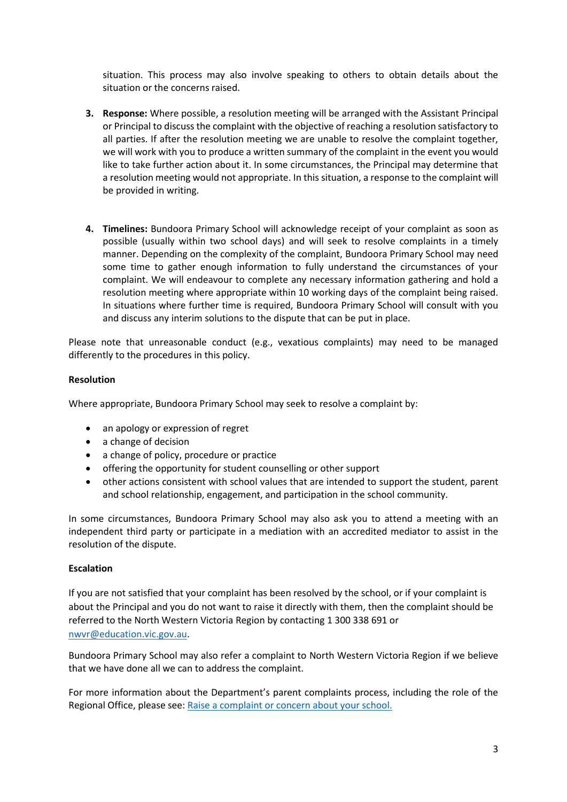situation. This process may also involve speaking to others to obtain details about the situation or the concerns raised.

- **3. Response:** Where possible, a resolution meeting will be arranged with the Assistant Principal or Principal to discuss the complaint with the objective of reaching a resolution satisfactory to all parties. If after the resolution meeting we are unable to resolve the complaint together, we will work with you to produce a written summary of the complaint in the event you would like to take further action about it. In some circumstances, the Principal may determine that a resolution meeting would not appropriate. In this situation, a response to the complaint will be provided in writing.
- **4. Timelines:** Bundoora Primary School will acknowledge receipt of your complaint as soon as possible (usually within two school days) and will seek to resolve complaints in a timely manner. Depending on the complexity of the complaint, Bundoora Primary School may need some time to gather enough information to fully understand the circumstances of your complaint. We will endeavour to complete any necessary information gathering and hold a resolution meeting where appropriate within 10 working days of the complaint being raised. In situations where further time is required, Bundoora Primary School will consult with you and discuss any interim solutions to the dispute that can be put in place.

Please note that unreasonable conduct (e.g., vexatious complaints) may need to be managed differently to the procedures in this policy.

#### **Resolution**

Where appropriate, Bundoora Primary School may seek to resolve a complaint by:

- an apology or expression of regret
- a change of decision
- a change of policy, procedure or practice
- offering the opportunity for student counselling or other support
- other actions consistent with school values that are intended to support the student, parent and school relationship, engagement, and participation in the school community.

In some circumstances, Bundoora Primary School may also ask you to attend a meeting with an independent third party or participate in a mediation with an accredited mediator to assist in the resolution of the dispute.

#### **Escalation**

If you are not satisfied that your complaint has been resolved by the school, or if your complaint is about the Principal and you do not want to raise it directly with them, then the complaint should be referred to the North Western Victoria Region by contacting 1 300 338 691 or [nwvr@education.vic.gov.au.](mailto:nwvr@education.vic.gov.au)

Bundoora Primary School may also refer a complaint to North Western Victoria Region if we believe that we have done all we can to address the complaint.

For more information about the Department's parent complaints process, including the role of the Regional Office, please see: [Raise a complaint or concern about your school.](https://www.vic.gov.au/raise-complaint-or-concern-about-your-school)